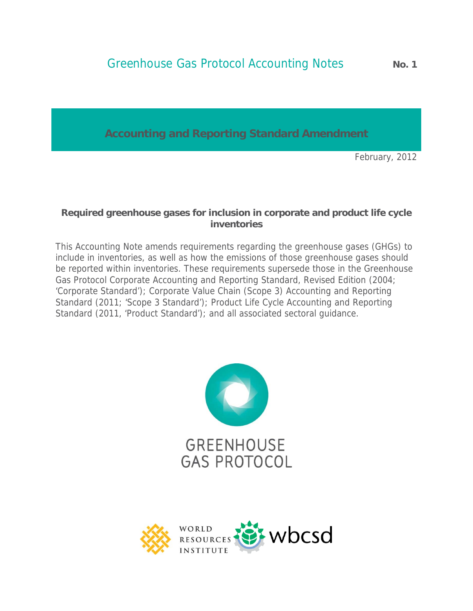**Accounting and Reporting Standard Amendment** 

February, 2012

### **Required greenhouse gases for inclusion in corporate and product life cycle inventories**

This Accounting Note amends requirements regarding the greenhouse gases (GHGs) to include in inventories, as well as how the emissions of those greenhouse gases should be reported within inventories. These requirements supersede those in the Greenhouse Gas Protocol Corporate Accounting and Reporting Standard, Revised Edition (2004; 'Corporate Standard'); Corporate Value Chain (Scope 3) Accounting and Reporting Standard (2011; 'Scope 3 Standard'); Product Life Cycle Accounting and Reporting Standard (2011, 'Product Standard'); and all associated sectoral guidance.



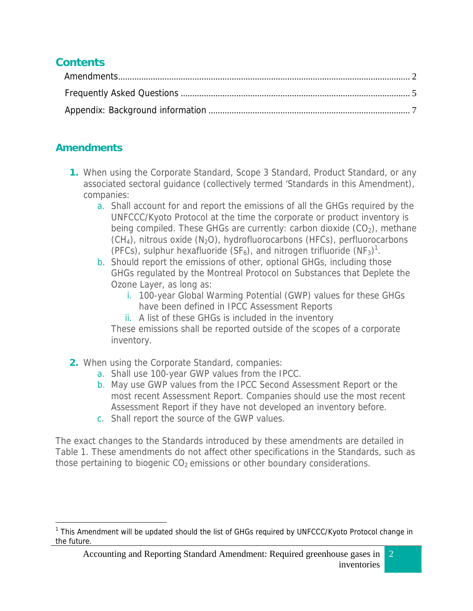# **Contents**

## **Amendments**

1

- **1.** When using the Corporate Standard, Scope 3 Standard, Product Standard, or any associated sectoral guidance (collectively termed 'Standards in this Amendment), companies:
	- a. Shall account for and report the emissions of all the GHGs required by the UNFCCC/Kyoto Protocol at the time the corporate or product inventory is being compiled. These GHGs are currently: carbon dioxide  $(CO<sub>2</sub>)$ , methane  $(CH<sub>4</sub>)$ , nitrous oxide  $(N<sub>2</sub>O)$ , hydrofluorocarbons (HFCs), perfluorocarbons (PFCs), sulphur hexafluoride (SF<sub>6</sub>), and nitrogen trifluoride (NF<sub>3</sub>)<sup>1</sup>.

b. Should report the emissions of other, optional GHGs, including those GHGs regulated by the Montreal Protocol on Substances that Deplete the Ozone Layer, as long as:

- i. 100-year Global Warming Potential (GWP) values for these GHGs have been defined in IPCC Assessment Reports
- ii. A list of these GHGs is included in the inventory

These emissions shall be reported outside of the scopes of a corporate inventory.

- **2.** When using the Corporate Standard, companies:
	- a. Shall use 100-year GWP values from the IPCC.
	- b. May use GWP values from the IPCC Second Assessment Report or the most recent Assessment Report. Companies should use the most recent Assessment Report if they have not developed an inventory before.
	- c. Shall report the source of the GWP values.

The exact changes to the Standards introduced by these amendments are detailed in Table 1. These amendments do not affect other specifications in the Standards, such as those pertaining to biogenic  $CO<sub>2</sub>$  emissions or other boundary considerations.

<sup>&</sup>lt;sup>1</sup> This Amendment will be updated should the list of GHGs required by UNFCCC/Kyoto Protocol change in the future.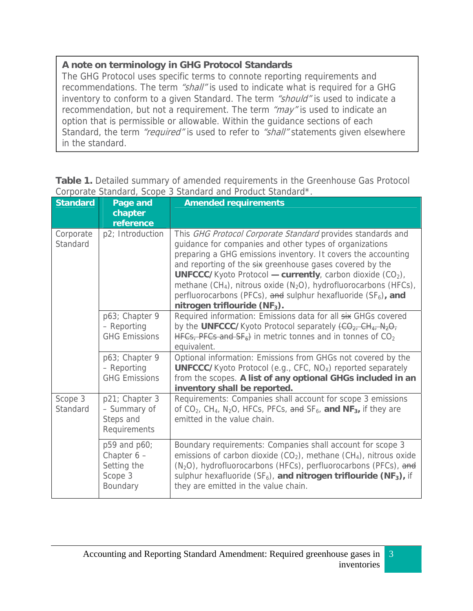## **A note on terminology in GHG Protocol Standards**

The GHG Protocol uses specific terms to connote reporting requirements and recommendations. The term "shall" is used to indicate what is required for a GHG inventory to conform to a given Standard. The term "should" is used to indicate a recommendation, but not a requirement. The term "may" is used to indicate an option that is permissible or allowable. Within the guidance sections of each Standard, the term "required" is used to refer to "shall" statements given elsewhere in the standard.

| <b>Standard</b>       | Page and                                                            | Corporate Stariuaru, Scope S Stariuaru anu Proguct Stariuaru.<br><b>Amended requirements</b>                                                                                                                                                                                                                                                                                                                                                                                                                         |
|-----------------------|---------------------------------------------------------------------|----------------------------------------------------------------------------------------------------------------------------------------------------------------------------------------------------------------------------------------------------------------------------------------------------------------------------------------------------------------------------------------------------------------------------------------------------------------------------------------------------------------------|
|                       | chapter<br>reference                                                |                                                                                                                                                                                                                                                                                                                                                                                                                                                                                                                      |
| Corporate<br>Standard | p2; Introduction                                                    | This GHG Protocol Corporate Standard provides standards and<br>guidance for companies and other types of organizations<br>preparing a GHG emissions inventory. It covers the accounting<br>and reporting of the six greenhouse gases covered by the<br><b>UNFCCC/Kyoto Protocol - currently</b> , carbon dioxide $(CO2)$ ,<br>methane $(CH_4)$ , nitrous oxide $(N_2O)$ , hydrofluorocarbons (HFCs),<br>perfluorocarbons (PFCs), and sulphur hexafluoride $(SF_6)$ , and<br>nitrogen triflouride (NF <sub>3</sub> ). |
|                       | p63; Chapter 9<br>- Reporting<br><b>GHG Emissions</b>               | Required information: Emissions data for all six GHGs covered<br>by the UNFCCC/Kyoto Protocol separately (CO <sub>2</sub> , CH <sub>4</sub> , N <sub>2</sub> O <sub>7</sub><br>$HFGs$ , PFCs and SF <sub>6</sub> ) in metric tonnes and in tonnes of CO <sub>2</sub><br>equivalent.                                                                                                                                                                                                                                  |
|                       | p63; Chapter 9<br>- Reporting<br><b>GHG Emissions</b>               | Optional information: Emissions from GHGs not covered by the<br><b>UNFCCC/Kyoto Protocol (e.g., CFC, NO<sub>x</sub>)</b> reported separately<br>from the scopes. A list of any optional GHGs included in an<br>inventory shall be reported.                                                                                                                                                                                                                                                                          |
| Scope 3<br>Standard   | p21; Chapter 3<br>- Summary of<br>Steps and<br>Requirements         | Requirements: Companies shall account for scope 3 emissions<br>of $CO_2$ , $CH_4$ , N <sub>2</sub> O, HFCs, PFCs, and SF <sub>6</sub> , and NF <sub>3</sub> , if they are<br>emitted in the value chain.                                                                                                                                                                                                                                                                                                             |
|                       | p59 and p60;<br>Chapter $6 -$<br>Setting the<br>Scope 3<br>Boundary | Boundary requirements: Companies shall account for scope 3<br>emissions of carbon dioxide $(CO_2)$ , methane $(CH_4)$ , nitrous oxide<br>(N <sub>2</sub> O), hydrofluorocarbons (HFCs), perfluorocarbons (PFCs), and<br>sulphur hexafluoride $(SF_6)$ , and nitrogen triflouride (NF <sub>3</sub> ), if<br>they are emitted in the value chain.                                                                                                                                                                      |

**Table 1.** Detailed summary of amended requirements in the Greenhouse Gas Protocol Corporate Standard, Scope 3 Standard and Product Standard\*.

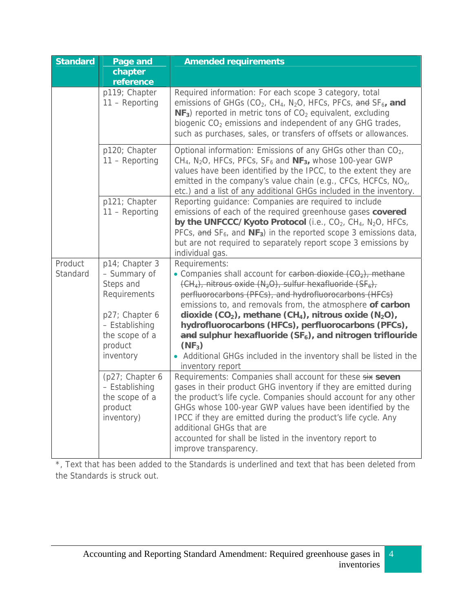| <b>Standard</b>     | Page and<br>chapter<br>reference                                                                                                          | <b>Amended requirements</b>                                                                                                                                                                                                                                                                                                                                                                                                                                                                                                                                                                                                |
|---------------------|-------------------------------------------------------------------------------------------------------------------------------------------|----------------------------------------------------------------------------------------------------------------------------------------------------------------------------------------------------------------------------------------------------------------------------------------------------------------------------------------------------------------------------------------------------------------------------------------------------------------------------------------------------------------------------------------------------------------------------------------------------------------------------|
|                     | p119; Chapter<br>$11 -$ Reporting                                                                                                         | Required information: For each scope 3 category, total<br>emissions of GHGs (CO <sub>2</sub> , CH <sub>4</sub> , N <sub>2</sub> O, HFCs, PFCs, and SF <sub>6</sub> , and<br>$NF3$ ) reported in metric tons of $CO2$ equivalent, excluding<br>biogenic CO <sub>2</sub> emissions and independent of any GHG trades,<br>such as purchases, sales, or transfers of offsets or allowances.                                                                                                                                                                                                                                    |
|                     | p120; Chapter<br>$11 -$ Reporting                                                                                                         | Optional information: Emissions of any GHGs other than CO <sub>2</sub> ,<br>CH <sub>4</sub> , N <sub>2</sub> O, HFCs, PFCs, SF <sub>6</sub> and NF <sub>3</sub> , whose 100-year GWP<br>values have been identified by the IPCC, to the extent they are<br>emitted in the company's value chain (e.g., CFCs, HCFCs, NO <sub>x</sub> ,<br>etc.) and a list of any additional GHGs included in the inventory.                                                                                                                                                                                                                |
|                     | p121; Chapter<br>11 - Reporting                                                                                                           | Reporting guidance: Companies are required to include<br>emissions of each of the required greenhouse gases covered<br>by the UNFCCC/Kyoto Protocol (i.e., CO <sub>2</sub> , CH <sub>4</sub> , N <sub>2</sub> O, HFCs,<br>PFCs, and $SF_6$ , and $NF_3$ ) in the reported scope 3 emissions data,<br>but are not required to separately report scope 3 emissions by<br>individual gas.                                                                                                                                                                                                                                     |
| Product<br>Standard | p14; Chapter 3<br>- Summary of<br>Steps and<br>Requirements<br>p27; Chapter 6<br>- Establishing<br>the scope of a<br>product<br>inventory | Requirements:<br>• Companies shall account for earbon dioxide (CO <sub>2</sub> ), methane<br>$(\text{CH}_4)$ , nitrous oxide $(\text{N}_2\text{O})$ , sulfur hexafluoride $(\text{SF}_6)$ ,<br>perfluorocarbons (PFCs), and hydrofluorocarbons (HFCs)<br>emissions to, and removals from, the atmosphere of carbon<br>dioxide $(CO_2)$ , methane $(CH_4)$ , nitrous oxide $(N_2O)$ ,<br>hydrofluorocarbons (HFCs), perfluorocarbons (PFCs),<br>and sulphur hexafluoride (SF <sub>6</sub> ), and nitrogen triflouride<br>$(NF_3)$<br>• Additional GHGs included in the inventory shall be listed in the<br>inventory report |
|                     | (p27; Chapter 6<br>- Establishing<br>the scope of a<br>product<br>inventory)                                                              | Requirements: Companies shall account for these six seven<br>gases in their product GHG inventory if they are emitted during<br>the product's life cycle. Companies should account for any other<br>GHGs whose 100-year GWP values have been identified by the<br>IPCC if they are emitted during the product's life cycle. Any<br>additional GHGs that are<br>accounted for shall be listed in the inventory report to<br>improve transparency.                                                                                                                                                                           |

\*, Text that has been added to the Standards is underlined and text that has been deleted from the Standards is struck out.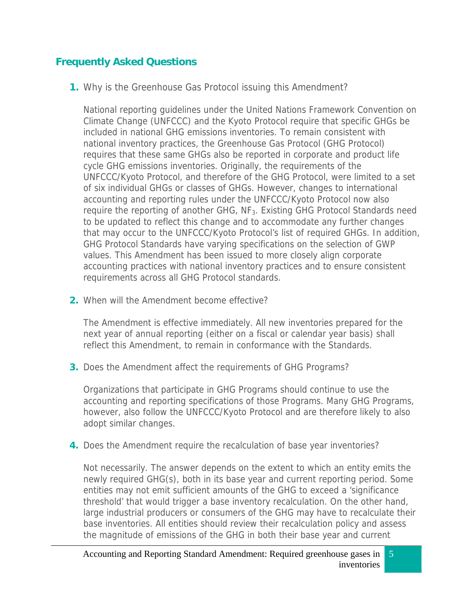## **Frequently Asked Questions**

**1.** Why is the Greenhouse Gas Protocol issuing this Amendment?

National reporting guidelines under the United Nations Framework Convention on Climate Change (UNFCCC) and the Kyoto Protocol require that specific GHGs be included in national GHG emissions inventories. To remain consistent with national inventory practices, the Greenhouse Gas Protocol (GHG Protocol) requires that these same GHGs also be reported in corporate and product life cycle GHG emissions inventories. Originally, the requirements of the UNFCCC/Kyoto Protocol, and therefore of the GHG Protocol, were limited to a set of six individual GHGs or classes of GHGs. However, changes to international accounting and reporting rules under the UNFCCC/Kyoto Protocol now also require the reporting of another GHG,  $NF<sub>3</sub>$ . Existing GHG Protocol Standards need to be updated to reflect this change and to accommodate any further changes that may occur to the UNFCCC/Kyoto Protocol's list of required GHGs. In addition, GHG Protocol Standards have varying specifications on the selection of GWP values. This Amendment has been issued to more closely align corporate accounting practices with national inventory practices and to ensure consistent requirements across all GHG Protocol standards.

**2.** When will the Amendment become effective?

The Amendment is effective immediately. All new inventories prepared for the next year of annual reporting (either on a fiscal or calendar year basis) shall reflect this Amendment, to remain in conformance with the Standards.

**3.** Does the Amendment affect the requirements of GHG Programs?

Organizations that participate in GHG Programs should continue to use the accounting and reporting specifications of those Programs. Many GHG Programs, however, also follow the UNFCCC/Kyoto Protocol and are therefore likely to also adopt similar changes.

**4.** Does the Amendment require the recalculation of base year inventories?

Not necessarily. The answer depends on the extent to which an entity emits the newly required GHG(s), both in its base year and current reporting period. Some entities may not emit sufficient amounts of the GHG to exceed a 'significance threshold' that would trigger a base inventory recalculation. On the other hand, large industrial producers or consumers of the GHG may have to recalculate their base inventories. All entities should review their recalculation policy and assess the magnitude of emissions of the GHG in both their base year and current

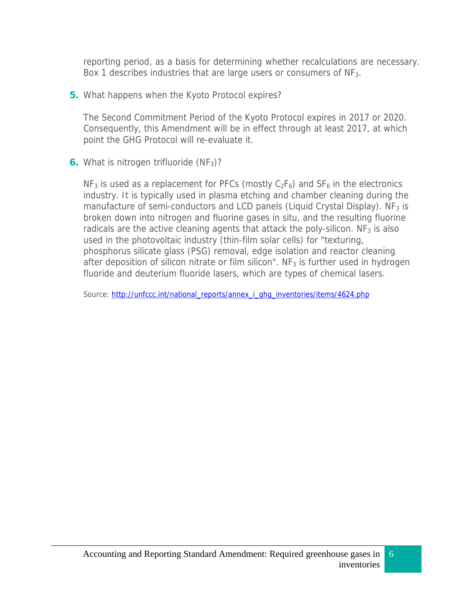reporting period, as a basis for determining whether recalculations are necessary. Box 1 describes industries that are large users or consumers of NF<sub>3</sub>.

**5.** What happens when the Kyoto Protocol expires?

The Second Commitment Period of the Kyoto Protocol expires in 2017 or 2020. Consequently, this Amendment will be in effect through at least 2017, at which point the GHG Protocol will re-evaluate it.

**6.** What is nitrogen trifluoride  $(NF_3)$ ?

 $NF_3$  is used as a replacement for PFCs (mostly  $C_2F_6$ ) and  $SF_6$  in the electronics industry. It is typically used in plasma etching and chamber cleaning during the manufacture of semi-conductors and LCD panels (Liquid Crystal Display).  $NF<sub>3</sub>$  is broken down into nitrogen and fluorine gases in situ, and the resulting fluorine radicals are the active cleaning agents that attack the poly-silicon.  $NF<sub>3</sub>$  is also used in the photovoltaic industry (thin-film solar cells) for "texturing, phosphorus silicate glass (PSG) removal, edge isolation and reactor cleaning after deposition of silicon nitrate or film silicon".  $NF<sub>3</sub>$  is further used in hydrogen fluoride and deuterium fluoride lasers, which are types of chemical lasers.

Source: http://unfccc.int/national\_reports/annex\_i\_ghg\_inventories/items/4624.php

6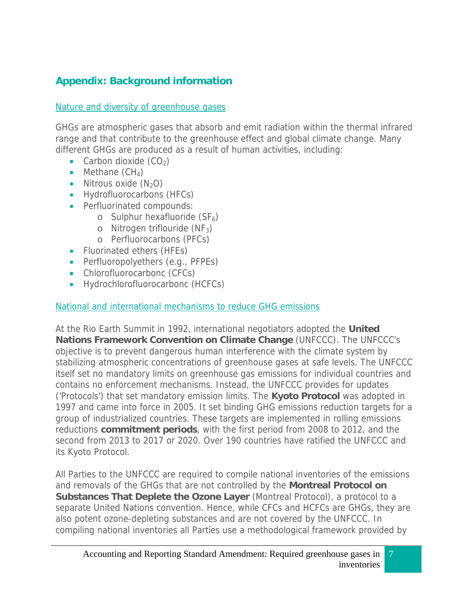## **Appendix: Background information**

### Nature and diversity of greenhouse gases

GHGs are atmospheric gases that absorb and emit radiation within the thermal infrared range and that contribute to the greenhouse effect and global climate change. Many different GHGs are produced as a result of human activities, including:

- Carbon dioxide  $(CO<sub>2</sub>)$
- Methane  $(CH_4)$
- Nitrous oxide  $(N_2O)$
- Hydrofluorocarbons (HFCs)
- Perfluorinated compounds:
	- $\circ$  Sulphur hexafluoride (SF<sub>6</sub>)
	- o Nitrogen triflouride  $(NF_3)$
	- o Perfluorocarbons (PFCs)
- Fluorinated ethers (HFEs)
- Perfluoropolyethers (e.g., PFPEs)
- Chlorofluorocarbonc (CFCs)
- Hydrochlorofluorocarbonc (HCFCs)

### National and international mechanisms to reduce GHG emissions

At the Rio Earth Summit in 1992, international negotiators adopted the **United Nations Framework Convention on Climate Change** (UNFCCC). The UNFCCC's objective is to prevent dangerous human interference with the climate system by stabilizing atmospheric concentrations of greenhouse gases at safe levels. The UNFCCC itself set no mandatory limits on greenhouse gas emissions for individual countries and contains no enforcement mechanisms. Instead, the UNFCCC provides for updates ('Protocols') that set mandatory emission limits. The **Kyoto Protocol** was adopted in 1997 and came into force in 2005. It set binding GHG emissions reduction targets for a group of industrialized countries. These targets are implemented in rolling emissions reductions **commitment periods**, with the first period from 2008 to 2012, and the second from 2013 to 2017 or 2020. Over 190 countries have ratified the UNFCCC and its Kyoto Protocol.

All Parties to the UNFCCC are required to compile national inventories of the emissions and removals of the GHGs that are not controlled by the **Montreal Protocol on Substances That Deplete the Ozone Layer** (Montreal Protocol), a protocol to a separate United Nations convention. Hence, while CFCs and HCFCs are GHGs, they are also potent ozone-depleting substances and are not covered by the UNFCCC. In compiling national inventories all Parties use a methodological framework provided by

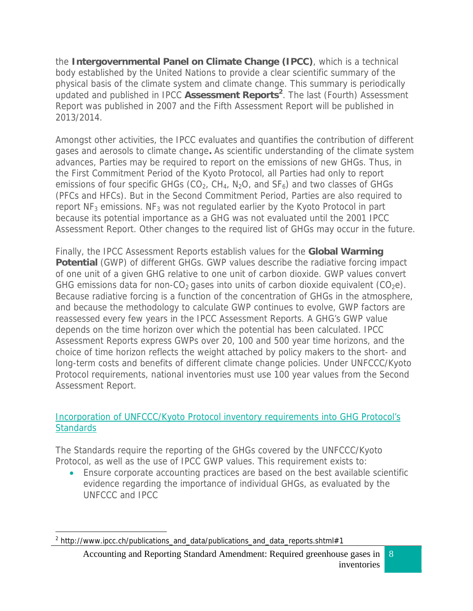the **Intergovernmental Panel on Climate Change (IPCC)**, which is a technical body established by the United Nations to provide a clear scientific summary of the physical basis of the climate system and climate change. This summary is periodically updated and published in IPCC Assessment Reports<sup>2</sup>. The last (Fourth) Assessment Report was published in 2007 and the Fifth Assessment Report will be published in 2013/2014.

Amongst other activities, the IPCC evaluates and quantifies the contribution of different gases and aerosols to climate change**.** As scientific understanding of the climate system advances, Parties may be required to report on the emissions of new GHGs. Thus, in the First Commitment Period of the Kyoto Protocol, all Parties had only to report emissions of four specific GHGs  $(CO<sub>2</sub>, CH<sub>4</sub>, N<sub>2</sub>O<sub>4</sub>$  and SF<sub>6</sub>) and two classes of GHGs (PFCs and HFCs). But in the Second Commitment Period, Parties are also required to report  $NF_3$  emissions. NF<sub>3</sub> was not regulated earlier by the Kyoto Protocol in part because its potential importance as a GHG was not evaluated until the 2001 IPCC Assessment Report. Other changes to the required list of GHGs may occur in the future.

Finally, the IPCC Assessment Reports establish values for the **Global Warming Potential** (GWP) of different GHGs. GWP values describe the radiative forcing impact of one unit of a given GHG relative to one unit of carbon dioxide. GWP values convert GHG emissions data for non-CO<sub>2</sub> gases into units of carbon dioxide equivalent (CO<sub>2</sub>e). Because radiative forcing is a function of the concentration of GHGs in the atmosphere, and because the methodology to calculate GWP continues to evolve, GWP factors are reassessed every few years in the IPCC Assessment Reports. A GHG's GWP value depends on the time horizon over which the potential has been calculated. IPCC Assessment Reports express GWPs over 20, 100 and 500 year time horizons, and the choice of time horizon reflects the weight attached by policy makers to the short- and long-term costs and benefits of different climate change policies. Under UNFCCC/Kyoto Protocol requirements, national inventories must use 100 year values from the Second Assessment Report.

### Incorporation of UNFCCC/Kyoto Protocol inventory requirements into GHG Protocol's **Standards**

The Standards require the reporting of the GHGs covered by the UNFCCC/Kyoto Protocol, as well as the use of IPCC GWP values. This requirement exists to:

 Ensure corporate accounting practices are based on the best available scientific evidence regarding the importance of individual GHGs, as evaluated by the UNFCCC and IPCC

 $\overline{a}$ 

 $^2$  http://www.ipcc.ch/publications\_and\_data/publications\_and\_data\_reports.shtml#1